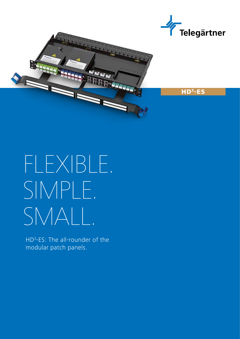



# FLEXIBLE. SIMPLE. SMALL.

HD<sup>3</sup>-ES: The all-rounder of the modular patch panels.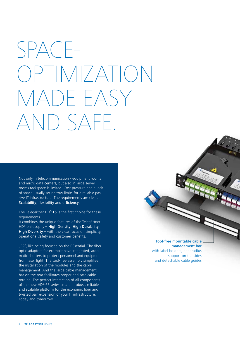## SPACE-OPTIMIZATION MADE EASY AND SAFE.

Not only in telecommunication / equipment rooms and micro data centers, but also in large server rooms rackspace is limited. Cost pressure and a lack of space usually set narrow limits for a reliable passive IT infrastructure. The requirements are clear: Scalability, flexibility and efficiency.

The Telegärtner HD<sup>3</sup>-ES is the first choice for these requirements.

It combines the unique features of the Telegärtner  $HD<sup>3</sup>$  philosophy – High Density, High Durability, High Diversity – with the clear focus on simplicity, operational safety and customer benefits.

..ES", like being focused on the ESsential. The fiber optic adaptors for example have integrated, automatic shutters to protect personnel and equipment from laser light. The tool-free assembly simplifies the installation of the modules and the cable management. And the large cable management bar on the rear facilitates proper and safe cable routing. The perfect interaction of all components of the new HD<sup>3</sup>-ES series create a robust, reliable and scalable platform for the economic fiber and twisted pair expansion of your IT infrastructure. Today and tomorrow.

Tool-free mountable cable management bar with label holders, bendradius support on the sides and detachable cable guides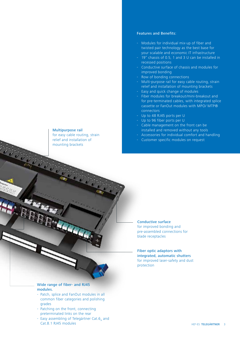## Multipurpose rail

for easy cable routing, strain relief and installation of mounting brackets

## Features and Benefits:

- Modules for individual mix-up of fiber and twisted pair technology as the best base for your scalable and economic IT infrastructure
- $19''$  chassis of 0.5, 1 and 3 U can be installed in recessed positions
- Conductive surface of chassis and modules for improved bonding
- Row of bonding connections
- Multi-purpose rail for easy cable routing, strain relief and installation of mounting brackets
- Easy and quick change of modules
- Fiber modules for breakout/mini-breakout and for pre-terminated cables, with integrated splice cassette or FanOut modules with MPO/ MTP® connectors
- Up to 48 RJ45 ports per U
- Up to 96 fiber ports per U
- Cable management on the front can be installed and removed without any tools
- Accessories for individual comfort and handling
- Customer specific modules on request

## Conductive surface for improved bonding and pre-assembled connections for blade receptacles

Fiber optic adaptors with integrated, automatic shutters for improved laser-safety and dust protection

## Wide range of fiber- and RJ45 modules.

**ABB** 

- Patch, splice and FanOut modules in all common fiber categories and polishing grades
- Patching on the front, connecting preterminated links on the rear
- Easy assembling of Telegärtner Cat.6, and Cat.8.1 RJ45 modules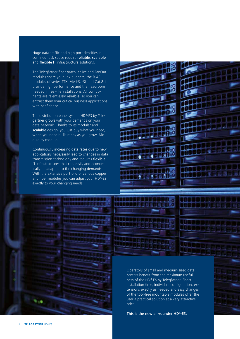Huge data traffic and high port densities in confined rack space require reliable, scalable and flexible IT infrastructure solutions.

The Telegärtner fiber patch, splice and FanOut modules spare your link budgets, the RJ45 modules of series STX, AMJ-S, -SL and Cat.8.1 provide high performance and the headroom needed in real-life installations. All components are relentlessly reliable, so you can entrust them your critical business applications with confidence.

The distribution panel system HD<sup>3</sup>-ES by Telegärtner grows with your demands on your data network. Thanks to its modular and scalable design, you just buy what you need, when you need it. True pay as you grow. Module by module.

Continuously increasing data rates due to new applications necessarily lead to changes in data transmission technology and requires flexible IT infrastructures that can easily and economically be adapted to the changing demands. With the extensive portfolio of various copper and fiber modules you can adjust your HD<sup>3</sup>-ES exactly to your changing needs.

nÓ ×Ō i dae **ECOD®** 



Operators of small and medium-sized data centers benefit from the maximum usefulness of the HD<sup>3</sup>-ES by Telegärtner. Short installation time, individual configuration, extensions exactly as needed and easy changes of the tool-free mountable modules offer the user a practical solution at a very attractive price.

This is the new all-rounder  $HD<sup>3</sup>-ES$ .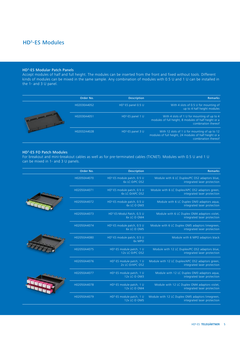## HD3-ES Modules

#### HD3-ES Modular Patch Panels

Accept modules of half and full height. The modules can be inserted from the front and fixed without tools. Different kinds of modules can be mixed in the same sample. Any combination of modules with 0.5 U and 1 U can be installed in the 1- and 3 U panel.

|                | Order No.   | <b>Description</b>              | <b>Remarks</b>                                                                                                                 |
|----------------|-------------|---------------------------------|--------------------------------------------------------------------------------------------------------------------------------|
| <b>COMPANY</b> | H02030A4052 | HD <sup>3</sup> -ES panel 0.5 U | With 4 slots of 0.5 U for mounting of<br>up to 4 half height modules                                                           |
|                | H02030A4051 | HD <sup>3</sup> -ES panel 1 U   | With 4 slots of 1 U for mounting of up to 4<br>modules of full height, 8 modules of half height or a<br>combination thereof    |
|                | H02032A4028 | HD <sup>3</sup> -ES panel 3 U   | With 12 slots of 1 U for mounting of up to 12<br>modules of full height, 24 modules of half height or a<br>combination thereof |

### HD3-ES FO Patch Modules

For breakout and mini-breakout cables as well as for pre-terminated cables (TICNET). Modules with 0.5 U and 1 U can be mixed in 1- and 3 U panels.

| Order No.   | <b>Description</b>                                         | <b>Remarks</b>                                                                  |
|-------------|------------------------------------------------------------|---------------------------------------------------------------------------------|
| H02050A4070 | HD <sup>3</sup> -ES module patch, 0.5 U<br>6x LC-D/PC OS2  | Module with 6 LC Duplex/PC OS2 adaptors blue,<br>integrated laser protection    |
| H02050A4071 | HD <sup>3</sup> -ES module patch, 0.5 U<br>6x LC-D/APC OS2 | Module with 6 LC Duplex/APC OS2 adaptors green,<br>integrated laser protection  |
| H02050A4072 | HD <sup>3</sup> -ES module patch, 0.5 U<br>6x LC-D OM3     | Module with 6 LC Duplex OM3 adaptors aqua,<br>integrated laser protection       |
| H02050A4073 | HD <sup>3</sup> -ES-Modul Patch, 0,5 U<br>6x LC-D OM4      | Module with 6 LC Duplex OM4 adaptors violet,<br>integrated laser protection     |
| H02050A4074 | HD <sup>3</sup> -ES module patch, 0.5 U<br>6x LC-D OM5     | Module with 6 LC Duplex OM5 adaptors limegreen,<br>integrated laser protection  |
| H02050A4080 | HD <sup>3</sup> -ES module patch, 0.5 U<br>6x MPO          | Module with 6 MPO adaptors black                                                |
| H02050A4075 | HD <sup>3</sup> -ES module patch, 1 U<br>12x LC-D/PC OS2   | Module with 12 LC Duplex/PC OS2 adaptors blue,<br>integrated laser protection   |
| H02050A4076 | HD <sup>3</sup> -ES module patch, 1 U<br>2x LC-D/APC OS2   | Module with 12 LC Duplex/APC OS2 adaptors green,<br>integrated laser protection |
| H02050A4077 | HD <sup>3</sup> -ES module patch, 1 U<br>12x LC-D OM3      | Module with 12 LC Duplex OM3 adaptors aqua,<br>integrated laser protection      |
| H02050A4078 | HD <sup>3</sup> -ES module patch, 1 U<br>12x LC-D OM4      | Module with 12 LC Duplex OM4 adaptors violet,<br>integrated laser protection    |
| H02050A4079 | HD <sup>3</sup> -ES module patch, 1 U<br>12x LC-D OM5      | Module with 12 LC Duplex OM5 adaptors limegreen,<br>integrated laser protection |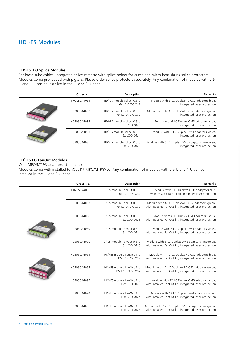## HD3-ES Modules

#### HD3-ES FO Splice Modules

For loose tube cables. Integrated splice cassette with splice holder for crimp and micro heat shrink splice protectors. Modules come pre-loaded with pigtails. Please order splice protectors separately. Any combination of modules with 0.5 U and 1 U can be installed in the 1- and 3 U panel.

|  | Order No.   | Description                                             | <b>Remarks</b>                                                                 |
|--|-------------|---------------------------------------------------------|--------------------------------------------------------------------------------|
|  | H02050A4081 | $HD3$ -ES module splice, 0.5 U<br>6x LC-D/PC OS2        | Module with 6 LC Duplex/PC OS2 adaptors blue,<br>integrated laser protection   |
|  | H02050A4082 | $HD3$ -ES module splice, 0.5 U<br>6x LC-D/APC OS2       | Module with 6 LC Duplex/APC OS2 adaptors green,<br>integrated laser protection |
|  | H02050A4083 | HD <sup>3</sup> -ES module splice, 0.5 U<br>6x LC-D OM3 | Module with 6 LC Duplex OM3 adaptors agua,<br>integrated laser protection      |
|  | H02050A4084 | HD <sup>3</sup> -ES module splice, 0.5 U<br>6x LC-D OM4 | Module with 6 LC Duplex OM4 adaptors violet,<br>integrated laser protection    |
|  | H02050A4085 | HD <sup>3</sup> -ES module splice, 0.5 U<br>6x LC-D OM5 | Module with 6 LC Duplex OM5 adaptors limegreen,<br>integrated laser protection |

## HD3-ES FO FanOut Modules

With MPO/MTP® adaptors at the back.

Modules come with installed FanOut Kit MPO/MTP®-LC. Any combination of modules with 0.5 U and 1 U can be installed in the 1- and 3 U panel.

| Order No.   | Description                                                | Remarks                                                                                                    |
|-------------|------------------------------------------------------------|------------------------------------------------------------------------------------------------------------|
| H02050A4086 | HD <sup>3</sup> -ES module FanOut 0.5 U<br>6x LC-D/PC OS2  | Module with 6 LC Duplex/PC OS2 adaptors blue,<br>with installed FanOut kit, integrated laser protection    |
| H02050A4087 | HD <sup>3</sup> -ES module FanOut 0.5 U<br>6x LC-D/APC OS2 | Module with 6 LC Duplex/APC OS2 adaptors green,<br>with installed FanOut kit, integrated laser protection  |
| H02050A4088 | HD <sup>3</sup> -ES module FanOut 0.5 U<br>6x LC-D OM3     | Module with 6 LC Duplex OM3 adaptors agua,<br>with installed FanOut kit, integrated laser protection       |
| H02050A4089 | HD <sup>3</sup> -ES module FanOut 0.5 U<br>6x LC-D OM4     | Module with 6 LC Duplex OM4 adaptors violet,<br>with installed FanOut kit, integrated laser protection     |
| H02050A4090 | HD <sup>3</sup> -ES module FanOut 0.5 U<br>6x LC-D OM5     | Module with 6 LC Duplex OM5 adaptors limegreen,<br>with installed FanOut kit, integrated laser protection  |
| H02050A4091 | HD <sup>3</sup> -ES module FanOut 1 U<br>12x LC-D/PC OS2   | Module with 12 LC Duplex/PC OS2 adaptors blue,<br>with installed FanOut kit, integrated laser protection   |
| H02050A4092 | HD <sup>3</sup> -ES module FanOut 1 U<br>12x LC-D/APC OS2  | Module with 12 LC Duplex/APC OS2 adaptors green,<br>with installed FanOut kit, integrated laser protection |
| H02050A4093 | HD <sup>3</sup> -ES module FanOut 1 U<br>12x LC-D OM3      | Module with 12 LC Duplex OM3 adaptors agua,<br>with installed FanOut kit, integrated laser protection      |
| H02050A4094 | HD <sup>3</sup> -ES module FanOut 1 U<br>12x LC-D OM4      | Module with 12 LC Duplex OM4 adaptors violet,<br>with installed FanOut kit, integrated laser protection    |
| H02050A4095 | HD <sup>3</sup> -ES module FanOut 1 U<br>12x LC-D OM5      | Module with 12 LC Duplex OM5 adaptors limegreen,<br>with installed FanOut kit, integrated laser protection |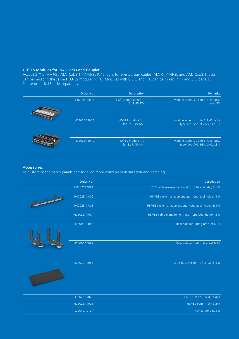## HD3-ES Modules for RJ45 Jacks and Coupler

Accept STX or AMJ-S / AMJ Cat.8.1 / AMJ-SL RJ45 jacks for twisted pair cables. AMJ-S, AMJ-SL and AMJ Cat.8.1 jacks can be mixed in the same HD3-ES module in 1 U. Modules with 0.5 U and 1 U can be mixed in 1- and 3 U panels. Please order RJ45 jacks separately.

| Order No.   | <b>Description</b>                                  | <b>Remarks</b>                                                     |
|-------------|-----------------------------------------------------|--------------------------------------------------------------------|
| H02025A4017 | HD <sup>3</sup> -ES module 0.5 U<br>for 6x RJ45 STX | Module accepts up to 6 RJ45 jacks<br>type STX                      |
| H02025A4018 | HD <sup>3</sup> -ES module 1 U<br>for 6x RJ45 AMJ   | Module accepts up to 6 RJ45 jacks<br>type AMJ-S/-S 2G/-SL/-Cat.8.1 |
| H02025A4019 | HD <sup>3</sup> -ES module 1 U<br>for 8x RJ45 AMJ   | Module accepts up to 8 RJ45 jacks<br>type AMJ-S/-S 2G/-SL/-Cat.8.1 |

#### Accessories

المستنبر

To customize the patch panels and for even more convenient installation and patching.

|               | Order No.   | <b>Description</b>                                                 |
|---------------|-------------|--------------------------------------------------------------------|
|               | H02025A4001 | HD <sup>3</sup> -ES cable management and front label holder, 0.5 U |
| $\frac{1}{2}$ | H02025A4002 | HD <sup>3</sup> -ES cable management and front label holder, 1 U   |
|               | H02025A4003 | HD <sup>3</sup> -ES cable management and front label holder, 2x1 U |
|               | H02025A4004 | HD <sup>3</sup> -ES cable management and front label holder, 3 U   |
|               | H06000A0086 | Rear side mounting bracket M20                                     |
|               |             |                                                                    |
|               | H06000A0087 | Rear side mounting bracket M25                                     |
|               | H02030A4053 | top-side cover for HD <sup>3</sup> -ES panel 1 U                   |
|               |             |                                                                    |

| H02025A4020 | $HD3-ES panel 0.5 U - blank$ |
|-------------|------------------------------|
| H02025A4021 | $HD3-ES panel 1 U - blank$   |
| L00040A0127 | $HD3$ -ES bonding set        |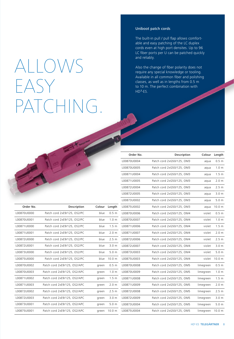## ALLOWS EASY PATCHING.

## Uniboot patch cords

The built-in pull / pull flap allows comfortable and easy patching of the LC duplex cords even at high port densites. Up to 96 LC fiber ports per U can be patched quickly and reliably.

Also the change of fiber polarity does not require any special knowledge or tooling. Available in all common fiber and polishing classes, as well as in lengths from 0.5 m to 10 m. The perfect combination with  $HD<sup>3</sup>-ES.$ 

| Order No.   | Description                  | Colour | Length           |
|-------------|------------------------------|--------|------------------|
| L00870U0000 | Patch cord 2xE9/125, OS2/PC  | blue   | 0.5 m            |
| L00870U0001 | Patch cord 2xE9/125, OS2/PC  | blue   | 1.0 <sub>m</sub> |
| L00871U0000 | Patch cord 2xE9/125, OS2/PC  | blue   | 1.5 <sub>m</sub> |
| L00871U0001 | Patch cord 2xE9/125, OS2/PC  | blue   | 2.0 m            |
| 100872U0000 | Patch cord 2xE9/125, OS2/PC  | blue   | 2.5 <sub>m</sub> |
| L00872U0001 | Patch cord 2xE9/125, OS2/PC  | blue   | 3.0 <sub>m</sub> |
| L00873U0000 | Patch cord 2xE9/125, OS2/PC  | blue   | 5.0 <sub>m</sub> |
| 100875U0000 | Patch cord 2xE9/125, OS2/PC  | blue   | 10.0 m           |
| 100870U0002 | Patch cord 2xE9/125, OS2/APC | green  | 0.5 <sub>m</sub> |
| L00870U0003 | Patch cord 2xE9/125, OS2/APC | green  | 1.0 <sub>m</sub> |
| L00871U0002 | Patch cord 2xE9/125, OS2/APC | green  | 1.5 <sub>m</sub> |
| L00871U0003 | Patch cord 2xE9/125, OS2/APC | green  | 2.0 <sub>m</sub> |
| 100872U0002 | Patch cord 2xE9/125, OS2/APC | green  | 2.5 <sub>m</sub> |
| 100872U0003 | Patch cord 2xE9/125, OS2/APC | green  | 3.0 <sub>m</sub> |
| L00873U0001 | Patch cord 2xE9/125, OS2/APC | green  | 5.0 <sub>m</sub> |
| L00875U0001 | Patch cord 2xE9/125, OS2/APC | green  | 10.0 m           |

| Order No.   | Description               | Colour    | Length           |
|-------------|---------------------------|-----------|------------------|
| L00870U0004 | Patch cord 2xG50/125, OM3 | aqua      | 0.5 m            |
| L00870U0005 | Patch cord 2xG50/125, OM3 | aqua      | 1.0 <sub>m</sub> |
| L00871U0004 | Patch cord 2xG50/125, OM3 | aqua      | 1.5 <sub>m</sub> |
| L00871U0005 | Patch cord 2xG50/125, OM3 | aqua      | 2.0 <sub>m</sub> |
| L00872U0004 | Patch cord 2xG50/125, OM3 | aqua      | 2.5 m            |
| L00872U0005 | Patch cord 2xG50/125, OM3 | aqua      | 3.0 <sub>m</sub> |
| L00873U0002 | Patch cord 2xG50/125, OM3 | aqua      | 5.0 <sub>m</sub> |
| L00875U0002 | Patch cord 2xG50/125, OM3 | aqua      | 10.0 m           |
| L00870U0006 | Patch cord 2xG50/125, OM4 | violet    | 0.5 <sub>m</sub> |
| L00870U0007 | Patch cord 2xG50/125, OM4 | violet    | 1.0 <sub>m</sub> |
| L00871U0006 | Patch cord 2xG50/125, OM4 | violet    | 1.5 <sub>m</sub> |
| L00871U0007 | Patch cord 2xG50/125, OM4 | violet    | 2.0 <sub>m</sub> |
| L00872U0006 | Patch cord 2xG50/125, OM4 | violet    | 2.5 <sub>m</sub> |
| L00872U0007 | Patch cord 2xG50/125, OM4 | violet    | 3.0 <sub>m</sub> |
| L00873U0003 | Patch cord 2xG50/125, OM4 | violet    | 5.0 <sub>m</sub> |
| L00875U0003 | Patch cord 2xG50/125, OM4 | violet    | 10.0 m           |
| L00870U0008 | Patch cord 2xG50/125, OM5 | limegreen | 0.5 <sub>m</sub> |
| L00870U0009 | Patch cord 2xG50/125, OM5 | limegreen | 1.0 <sub>m</sub> |
| L00871U0008 | Patch cord 2xG50/125, OM5 | limegreen | 1.5 <sub>m</sub> |
| L00871U0009 | Patch cord 2xG50/125, OM5 | limegreen | 2.0 <sub>m</sub> |
| L00872U0008 | Patch cord 2xG50/125, OM5 | limegreen | 2.5 <sub>m</sub> |
| L00872U0009 | Patch cord 2xG50/125, OM5 | limegreen | 3.0 <sub>m</sub> |
| L00873U0004 | Patch cord 2xG50/125, OM5 | limegreen | 5.0 <sub>m</sub> |
| L00875U0004 | Patch cord 2xG50/125, OM5 | limegreen | 10.0 m           |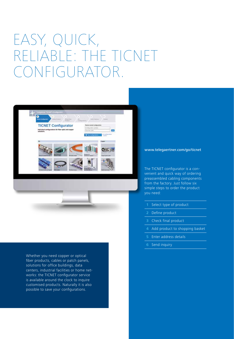## EASY, QUICK, RELIABLE: THE TICNET CONFIGURATOR.



Whether you need copper or optical fiber products, cables or patch panels, solutions for office buildings, data centers, industrial facilities or home networks: the TICNET configurator service is available around the clock to inquire customised products. Naturally it is also possible to save your configurations.

### www.telegaertner.com/go/ticnet

The TICNET configurator is a convenient and quick way of ordering preassembled cabling components from the factory. Just follow six simple steps to order the product you need:

- **1** Select type of product
- **2** Define product
- **3** Check final product
- **4** Add product to shopping basket
- **5** Enter address details
- **6** Send inquiry